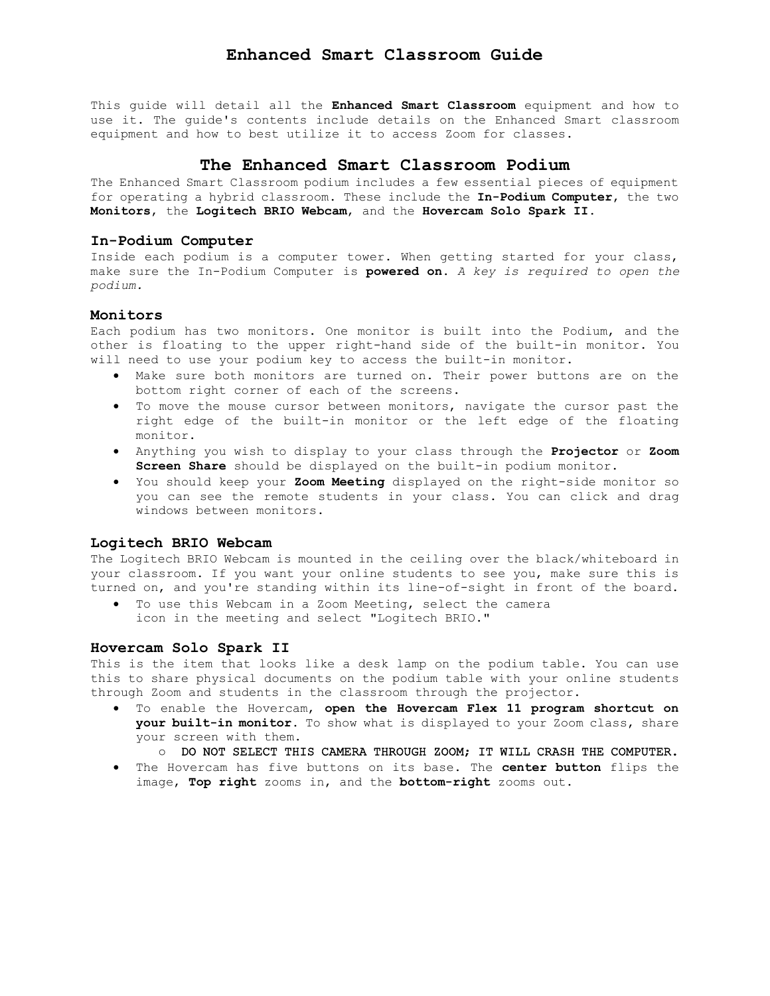This guide will detail all the **Enhanced Smart Classroom** equipment and how to use it. The guide's contents include details on the Enhanced Smart classroom equipment and how to best utilize it to access Zoom for classes.

# **The Enhanced Smart Classroom Podium**

The Enhanced Smart Classroom podium includes a few essential pieces of equipment for operating a hybrid classroom. These include the **In-Podium Computer**, the two **Monitors**, the **Logitech BRIO Webcam**, and the **Hovercam Solo Spark II**.

## **In-Podium Computer**

Inside each podium is a computer tower. When getting started for your class, make sure the In-Podium Computer is **powered on**. *A key is required to open the podium.* 

#### **Monitors**

Each podium has two monitors. One monitor is built into the Podium, and the other is floating to the upper right-hand side of the built-in monitor. You will need to use your podium key to access the built-in monitor.

- Make sure both monitors are turned on. Their power buttons are on the bottom right corner of each of the screens.
- right edge of the built-in monitor or the left edge of the floating To move the mouse cursor between monitors, navigate the cursor past the monitor.
- Anything you wish to display to your class through the **Projector** or **Zoom Screen Share** should be displayed on the built-in podium monitor.
- You should keep your **Zoom Meeting** displayed on the right-side monitor so you can see the remote students in your class. You can click and drag windows between monitors.

#### **Logitech BRIO Webcam**

The Logitech BRIO Webcam is mounted in the ceiling over the black/whiteboard in your classroom. If you want your online students to see you, make sure this is turned on, and you're standing within its line-of-sight in front of the board.

 To use this Webcam in a Zoom Meeting, select the camera icon in the meeting and select "Logitech BRIO."

#### **Hovercam Solo Spark II**

This is the item that looks like a desk lamp on the podium table. You can use this to share physical documents on the podium table with your online students through Zoom and students in the classroom through the projector.

- To enable the Hovercam, **open the Hovercam Flex 11 program shortcut on your built-in monitor**. To show what is displayed to your Zoom class, share your screen with them.
	- o DO NOT SELECT THIS CAMERA THROUGH ZOOM; IT WILL CRASH THE COMPUTER.
- The Hovercam has five buttons on its base. The **center button** flips the image, **Top right** zooms in, and the **bottom-right** zooms out.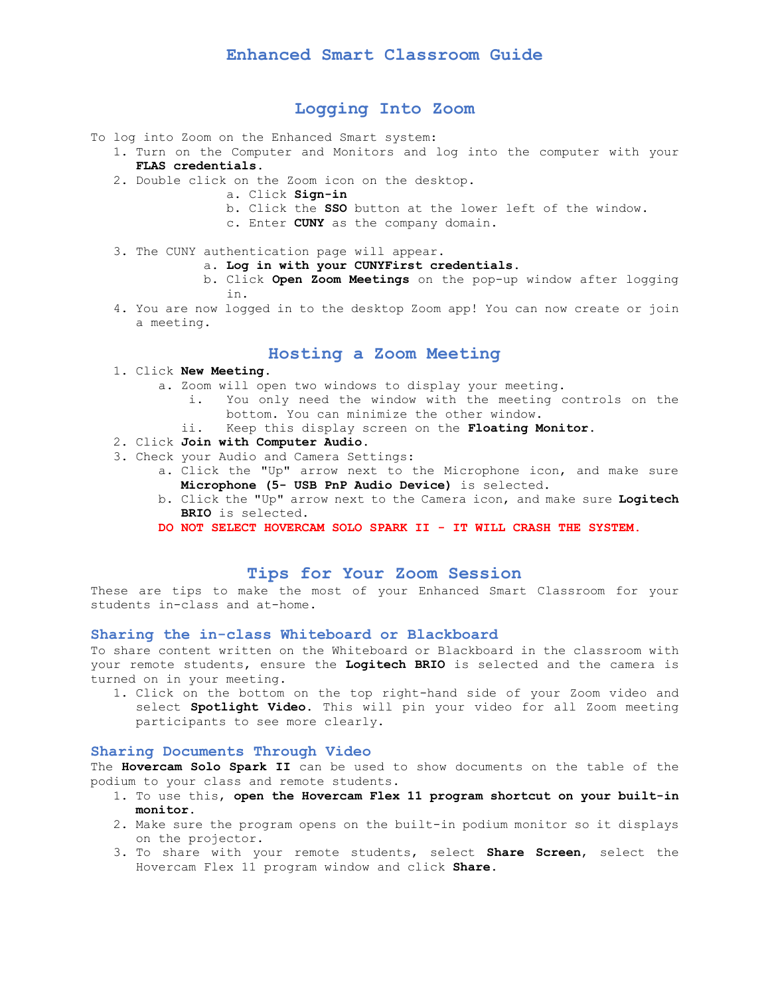# **Logging Into Zoom**

- To log into Zoom on the Enhanced Smart system:
	- 1. Turn on the Computer and Monitors and log into the computer with your **FLAS credentials**.
	- 2. Double click on the Zoom icon on the desktop.
		- a. Click **Sign-in**
		- b. Click the **SSO** button at the lower left of the window.
		- c. Enter **CUNY** as the company domain.
	- 3. The CUNY authentication page will appear.
		- a. **Log in with your CUNYFirst credentials.**
		- b. Click **Open Zoom Meetings** on the pop-up window after logging in.
	- 4. You are now logged in to the desktop Zoom app! You can now create or join a meeting.

## **Hosting a Zoom Meeting**

- 1. Click **New Meeting**.
	- a. Zoom will open two windows to display your meeting.
		- i. You only need the window with the meeting controls on the bottom. You can minimize the other window.
		- ii. Keep this display screen on the **Floating Monitor.**
- 2. Click **Join with Computer Audio**.
- 3. Check your Audio and Camera Settings:
	- a. Click the "Up" arrow next to the Microphone icon, and make sure **Microphone (5- USB PnP Audio Device)** is selected.
	- b. Click the "Up" arrow next to the Camera icon, and make sure **Logitech BRIO** is selected.
	- **DO NOT SELECT HOVERCAM SOLO SPARK II - IT WILL CRASH THE SYSTEM.**

## **Tips for Your Zoom Session**

 These are tips to make the most of your Enhanced Smart Classroom for your students in-class and at-home.

#### **Sharing the in-class Whiteboard or Blackboard**

To share content written on the Whiteboard or Blackboard in the classroom with your remote students, ensure the **Logitech BRIO** is selected and the camera is turned on in your meeting.

1. Click on the bottom on the top right-hand side of your Zoom video and select **Spotlight Video**. This will pin your video for all Zoom meeting participants to see more clearly.

#### **Sharing Documents Through Video**

The **Hovercam Solo Spark II** can be used to show documents on the table of the podium to your class and remote students**.** 

- 1. To use this, **open the Hovercam Flex 11 program shortcut on your built-in monitor**.
- 2. Make sure the program opens on the built-in podium monitor so it displays on the projector.
- 3. To share with your remote students, select **Share Screen**, select the Hovercam Flex 11 program window and click **Share**.